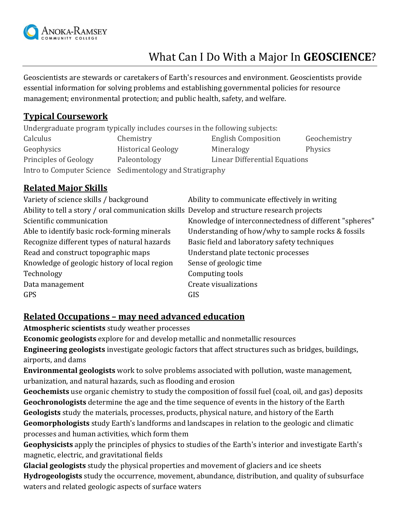

# What Can I Do With a Major In **GEOSCIENCE**?

Geoscientists are stewards or caretakers of Earth's resources and environment. Geoscientists provide essential information for solving problems and establishing governmental policies for resource management; environmental protection; and public health, safety, and welfare.

#### **Typical Coursework**

Undergraduate program typically includes courses in the following subjects:

| Calculus              | Chemistry                                                | <b>English Composition</b>    | Geochemistry |
|-----------------------|----------------------------------------------------------|-------------------------------|--------------|
| Geophysics            | <b>Historical Geology</b>                                | Mineralogy                    | Physics      |
| Principles of Geology | Paleontology                                             | Linear Differential Equations |              |
|                       | Intro to Computer Science Sedimentology and Stratigraphy |                               |              |

### **Related Major Skills**

| Variety of science skills / background                                                      | Ability to communicate effectively in writing          |
|---------------------------------------------------------------------------------------------|--------------------------------------------------------|
| Ability to tell a story / oral communication skills Develop and structure research projects |                                                        |
| Scientific communication                                                                    | Knowledge of interconnectedness of different "spheres" |
| Able to identify basic rock-forming minerals                                                | Understanding of how/why to sample rocks & fossils     |
| Recognize different types of natural hazards                                                | Basic field and laboratory safety techniques           |
| Read and construct topographic maps                                                         | Understand plate tectonic processes                    |
| Knowledge of geologic history of local region                                               | Sense of geologic time                                 |
| Technology                                                                                  | Computing tools                                        |
| Data management                                                                             | Create visualizations                                  |
| <b>GPS</b>                                                                                  | GIS                                                    |

#### **Related Occupations – may need advanced education**

**Atmospheric scientists** study weather processes

**Economic geologists** explore for and develop metallic and nonmetallic resources

**Engineering geologists** investigate geologic factors that affect structures such as bridges, buildings, airports, and dams

**Environmental geologists** work to solve problems associated with pollution, waste management, urbanization, and natural hazards, such as flooding and erosion

**Geochemists** use organic chemistry to study the composition of fossil fuel (coal, oil, and gas) deposits **Geochronologists** determine the age and the time sequence of events in the history of the Earth **Geologists** study the materials, processes, products, physical nature, and history of the Earth **Geomorphologists** study Earth's landforms and landscapes in relation to the geologic and climatic processes and human activities, which form them

**Geophysicists** apply the principles of physics to studies of the Earth's interior and investigate Earth's magnetic, electric, and gravitational fields

**Glacial geologists** study the physical properties and movement of glaciers and ice sheets **Hydrogeologists** study the occurrence, movement, abundance, distribution, and quality of subsurface waters and related geologic aspects of surface waters